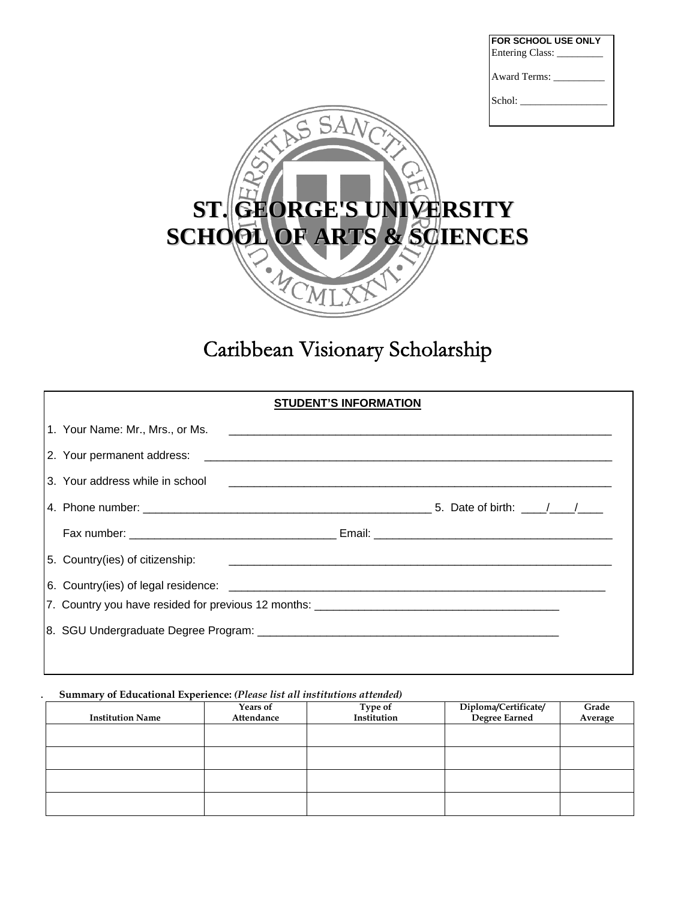| <b>FOR SCHOOL USE ONLY</b><br>Entering Class: |  |
|-----------------------------------------------|--|
| Award Terms:                                  |  |
| Schol:                                        |  |



# Caribbean Visionary Scholarship

| 3. Your address while in school |  |
|---------------------------------|--|
|                                 |  |
|                                 |  |
|                                 |  |
|                                 |  |
|                                 |  |
|                                 |  |
|                                 |  |

#### **. Summary of Educational Experience:** *(Please list all institutions attended)*

| <b>Institution Name</b> | <b>Years of</b><br>Attendance | Type of<br>Institution | Diploma/Certificate/<br>Degree Earned | Grade<br>Average |
|-------------------------|-------------------------------|------------------------|---------------------------------------|------------------|
|                         |                               |                        |                                       |                  |
|                         |                               |                        |                                       |                  |
|                         |                               |                        |                                       |                  |
|                         |                               |                        |                                       |                  |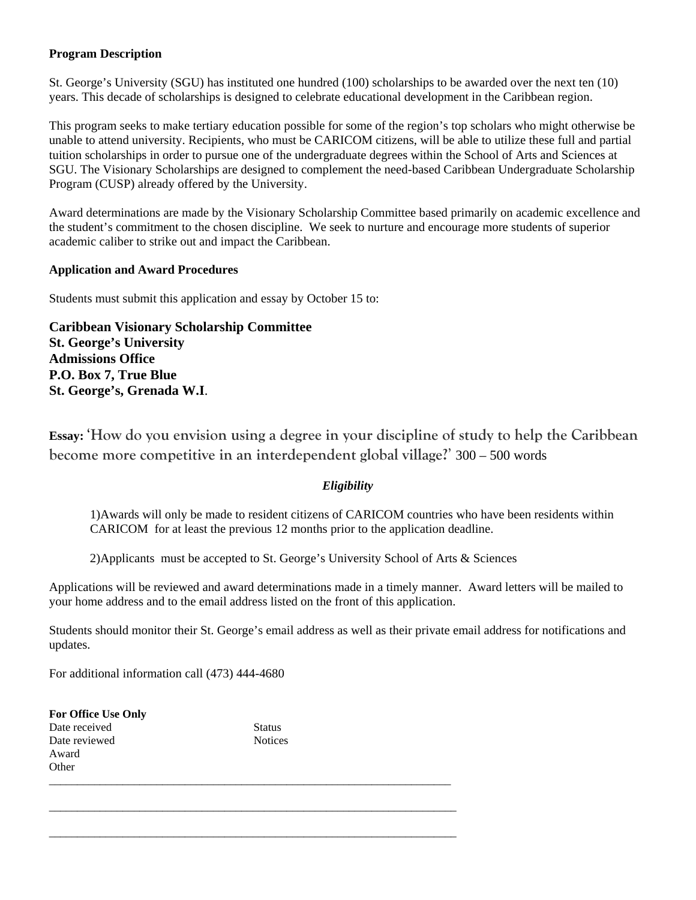#### **Program Description**

St. George's University (SGU) has instituted one hundred (100) scholarships to be awarded over the next ten (10) years. This decade of scholarships is designed to celebrate educational development in the Caribbean region.

This program seeks to make tertiary education possible for some of the region's top scholars who might otherwise be unable to attend university. Recipients, who must be CARICOM citizens, will be able to utilize these full and partial tuition scholarships in order to pursue one of the undergraduate degrees within the School of Arts and Sciences at SGU. The Visionary Scholarships are designed to complement the need-based Caribbean Undergraduate Scholarship Program (CUSP) already offered by the University.

Award determinations are made by the Visionary Scholarship Committee based primarily on academic excellence and the student's commitment to the chosen discipline. We seek to nurture and encourage more students of superior academic caliber to strike out and impact the Caribbean.

#### **Application and Award Procedures**

Students must submit this application and essay by October 15 to:

**Caribbean Visionary Scholarship Committee St. George's University Admissions Office P.O. Box 7, True Blue St. George's, Grenada W.I**.

**Essay:** '**How do you envision using a degree in your discipline of study to help the Caribbean become more competitive in an interdependent global village?**' 300 – 500 words

#### *Eligibility*

1)Awards will only be made to resident citizens of CARICOM countries who have been residents within CARICOM for at least the previous 12 months prior to the application deadline.

2)Applicants must be accepted to St. George's University School of Arts & Sciences

Applications will be reviewed and award determinations made in a timely manner. Award letters will be mailed to your home address and to the email address listed on the front of this application.

Students should monitor their St. George's email address as well as their private email address for notifications and updates.

For additional information call (473) 444-4680

| For Office Use Only |                |  |
|---------------------|----------------|--|
| Date received       | <b>Status</b>  |  |
| Date reviewed       | <b>Notices</b> |  |
| Award               |                |  |
| Other               |                |  |
|                     |                |  |

\_\_\_\_\_\_\_\_\_\_\_\_\_\_\_\_\_\_\_\_\_\_\_\_\_\_\_\_\_\_\_\_\_\_\_\_\_\_\_\_\_\_\_\_\_\_\_\_\_\_\_\_\_\_\_\_\_\_\_\_\_\_\_\_\_\_\_\_\_\_\_\_

\_\_\_\_\_\_\_\_\_\_\_\_\_\_\_\_\_\_\_\_\_\_\_\_\_\_\_\_\_\_\_\_\_\_\_\_\_\_\_\_\_\_\_\_\_\_\_\_\_\_\_\_\_\_\_\_\_\_\_\_\_\_\_\_\_\_\_\_\_\_\_\_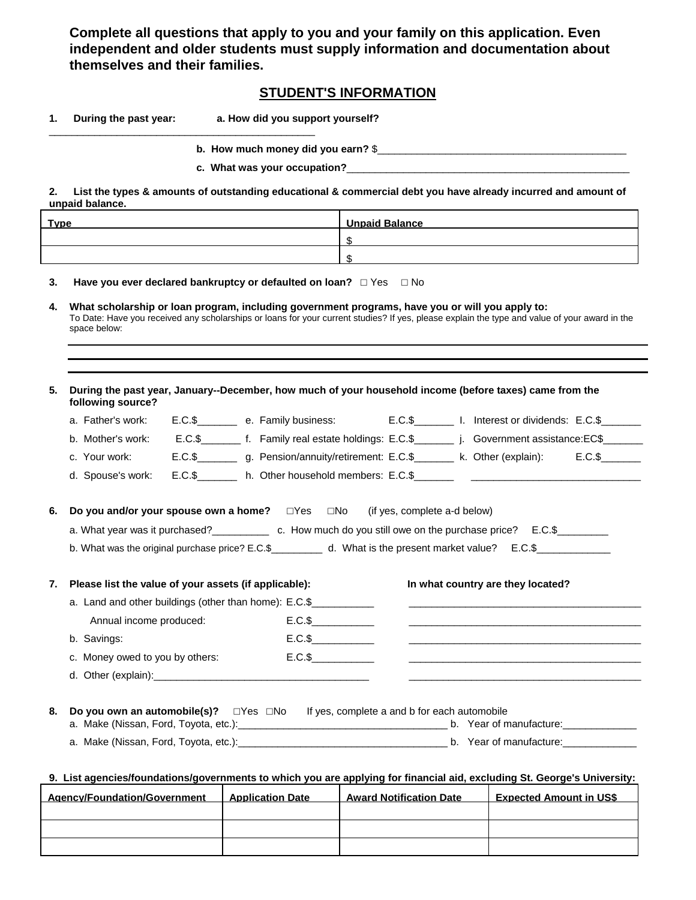**Complete all questions that apply to you and your family on this application. Even independent and older students must supply information and documentation about themselves and their families.** 

## **STUDENT'S INFORMATION**

|  | During the past year: | a. How did you support yourself? |
|--|-----------------------|----------------------------------|
|--|-----------------------|----------------------------------|

\_\_\_\_\_\_\_\_\_\_\_\_\_\_\_\_\_\_\_\_\_\_\_\_\_\_\_\_\_\_\_\_\_\_\_\_\_\_\_\_\_\_\_\_\_\_\_

**b. How much money did you earn?** \$\_\_\_\_\_\_\_\_\_\_\_\_\_\_\_\_\_\_\_\_\_\_\_\_\_\_\_\_\_\_\_\_\_\_\_\_\_\_\_\_\_\_\_\_

**c. What was your occupation?**\_\_\_\_\_\_\_\_\_\_\_\_\_\_\_\_\_\_\_\_\_\_\_\_\_\_\_\_\_\_\_\_\_\_\_\_\_\_\_\_\_\_\_\_\_\_\_\_\_\_

**2. List the types & amounts of outstanding educational & commercial debt you have already incurred and amount of unpaid balance.** 

| <b>Type</b> | <b>Unpaid Balance</b> |
|-------------|-----------------------|
|             |                       |
|             |                       |

**3. Have you ever declared bankruptcy or defaulted on loan?**  $\Box$  Yes  $\Box$  No

**4. What scholarship or loan program, including government programs, have you or will you apply to:** To Date: Have you received any scholarships or loans for your current studies? If yes, please explain the type and value of your award in the space below:

| 5. | During the past year, January--December, how much of your household income (before taxes) came from the<br>following source? |         |                                              |                                                                                                                          |
|----|------------------------------------------------------------------------------------------------------------------------------|---------|----------------------------------------------|--------------------------------------------------------------------------------------------------------------------------|
|    | a. Father's work:                                                                                                            |         |                                              | E.C.\$ e. Family business: E.C.\$ I. Interest or dividends: E.C.\$                                                       |
|    | b. Mother's work:                                                                                                            |         |                                              | E.C.\$__________ f. Family real estate holdings: E.C.\$___________ j. Government assistance:EC\$_______                  |
|    | c. Your work:                                                                                                                |         |                                              | E.C.\$ _________ g. Pension/annuity/retirement: E.C.\$ _________ k. Other (explain): E.C.\$ _______                      |
|    | d. Spouse's work:                                                                                                            |         |                                              |                                                                                                                          |
| 6. | Do you and/or your spouse own a home? $\Box$ Yes $\Box$ No (if yes, complete a-d below)                                      |         |                                              |                                                                                                                          |
|    | a. What year was it purchased?<br>c. How much do you still owe on the purchase price? E.C.\$                                 |         |                                              |                                                                                                                          |
|    | b. What was the original purchase price? E.C.\$____________ d. What is the present market value? E.C.\$____________          |         |                                              |                                                                                                                          |
|    |                                                                                                                              |         |                                              |                                                                                                                          |
| 7. | Please list the value of your assets (if applicable):                                                                        |         |                                              | In what country are they located?                                                                                        |
|    | a. Land and other buildings (other than home): E.C.\$                                                                        |         |                                              | <u> 1989 - Johann John Stein, market fan de Fryske kunstner oant it ferstjer fan de Fryske kunstner oant it ferst</u>    |
|    | Annual income produced:                                                                                                      | $E.C.\$ |                                              |                                                                                                                          |
|    | b. Savings:                                                                                                                  | $E.C.\$ |                                              | <u> 1989 - Johann John Stein, mars an deutscher Stein und der Stein und der Stein und der Stein und der Stein und</u>    |
|    | c. Money owed to you by others:                                                                                              | $E.C.\$ |                                              | <u> 1989 - Johann Stein, mars an deutscher Stein und der Stein und der Stein und der Stein und der Stein und der</u>     |
|    |                                                                                                                              |         |                                              | <u> 1990 - Johann John Stein, markin santa a</u>                                                                         |
|    |                                                                                                                              |         |                                              |                                                                                                                          |
| 8. | Do you own an automobile(s)? $\square$ Yes $\square$ No                                                                      |         | If yes, complete a and b for each automobile |                                                                                                                          |
|    |                                                                                                                              |         |                                              |                                                                                                                          |
|    |                                                                                                                              |         |                                              | 9. List agencies/foundations/governments to which you are applying for financial aid, excluding St. George's University: |
|    | Agency/Foundation/Government   Application Date   Award Notification Date   Expected Amount in US\$                          |         |                                              |                                                                                                                          |